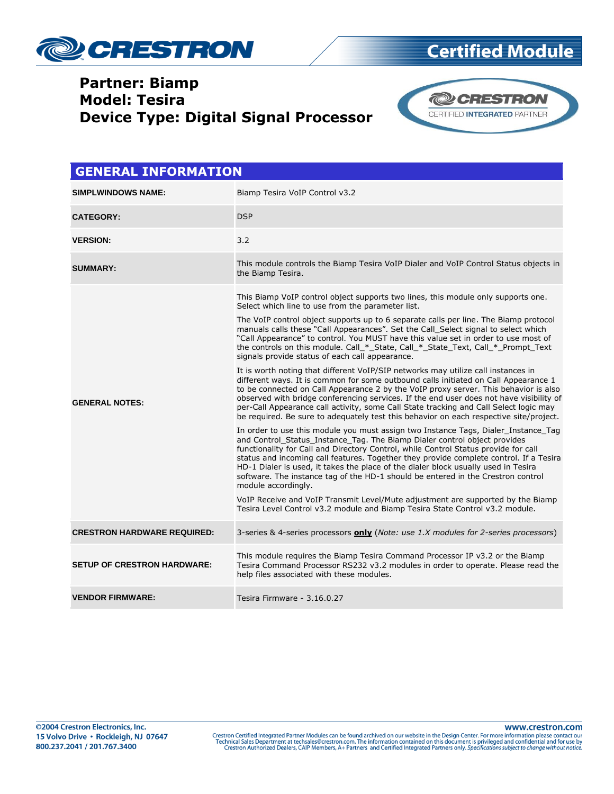

### **Partner: Biamp Model: Tesira Device Type: Digital Signal Processor**



| <b>GENERAL INFORMATION</b>         |                                                                                                                                                                                                                                                                                                                                                                                                                                                                                                                                                   |  |
|------------------------------------|---------------------------------------------------------------------------------------------------------------------------------------------------------------------------------------------------------------------------------------------------------------------------------------------------------------------------------------------------------------------------------------------------------------------------------------------------------------------------------------------------------------------------------------------------|--|
| <b>SIMPLWINDOWS NAME:</b>          | Biamp Tesira VoIP Control v3.2                                                                                                                                                                                                                                                                                                                                                                                                                                                                                                                    |  |
| <b>CATEGORY:</b>                   | <b>DSP</b>                                                                                                                                                                                                                                                                                                                                                                                                                                                                                                                                        |  |
| <b>VERSION:</b>                    | 3.2                                                                                                                                                                                                                                                                                                                                                                                                                                                                                                                                               |  |
| <b>SUMMARY:</b>                    | This module controls the Biamp Tesira VoIP Dialer and VoIP Control Status objects in<br>the Biamp Tesira.                                                                                                                                                                                                                                                                                                                                                                                                                                         |  |
|                                    | This Biamp VoIP control object supports two lines, this module only supports one.<br>Select which line to use from the parameter list.                                                                                                                                                                                                                                                                                                                                                                                                            |  |
|                                    | The VoIP control object supports up to 6 separate calls per line. The Biamp protocol<br>manuals calls these "Call Appearances". Set the Call_Select signal to select which<br>"Call Appearance" to control. You MUST have this value set in order to use most of<br>the controls on this module. Call_*_State, Call_*_State_Text, Call_*_Prompt_Text<br>signals provide status of each call appearance.                                                                                                                                           |  |
| <b>GENERAL NOTES:</b>              | It is worth noting that different VoIP/SIP networks may utilize call instances in<br>different ways. It is common for some outbound calls initiated on Call Appearance 1<br>to be connected on Call Appearance 2 by the VoIP proxy server. This behavior is also<br>observed with bridge conferencing services. If the end user does not have visibility of<br>per-Call Appearance call activity, some Call State tracking and Call Select logic may<br>be required. Be sure to adequately test this behavior on each respective site/project.    |  |
|                                    | In order to use this module you must assign two Instance Tags, Dialer Instance Tag<br>and Control_Status_Instance_Tag. The Biamp Dialer control object provides<br>functionality for Call and Directory Control, while Control Status provide for call<br>status and incoming call features. Together they provide complete control. If a Tesira<br>HD-1 Dialer is used, it takes the place of the dialer block usually used in Tesira<br>software. The instance tag of the HD-1 should be entered in the Crestron control<br>module accordingly. |  |
|                                    | VoIP Receive and VoIP Transmit Level/Mute adjustment are supported by the Biamp<br>Tesira Level Control v3.2 module and Biamp Tesira State Control v3.2 module.                                                                                                                                                                                                                                                                                                                                                                                   |  |
| <b>CRESTRON HARDWARE REQUIRED:</b> | 3-series & 4-series processors <b>only</b> (Note: use 1.X modules for 2-series processors)                                                                                                                                                                                                                                                                                                                                                                                                                                                        |  |
| <b>SETUP OF CRESTRON HARDWARE:</b> | This module requires the Biamp Tesira Command Processor IP v3.2 or the Biamp<br>Tesira Command Processor RS232 v3.2 modules in order to operate. Please read the<br>help files associated with these modules.                                                                                                                                                                                                                                                                                                                                     |  |
| <b>VENDOR FIRMWARE:</b>            | Tesira Firmware - 3.16.0.27                                                                                                                                                                                                                                                                                                                                                                                                                                                                                                                       |  |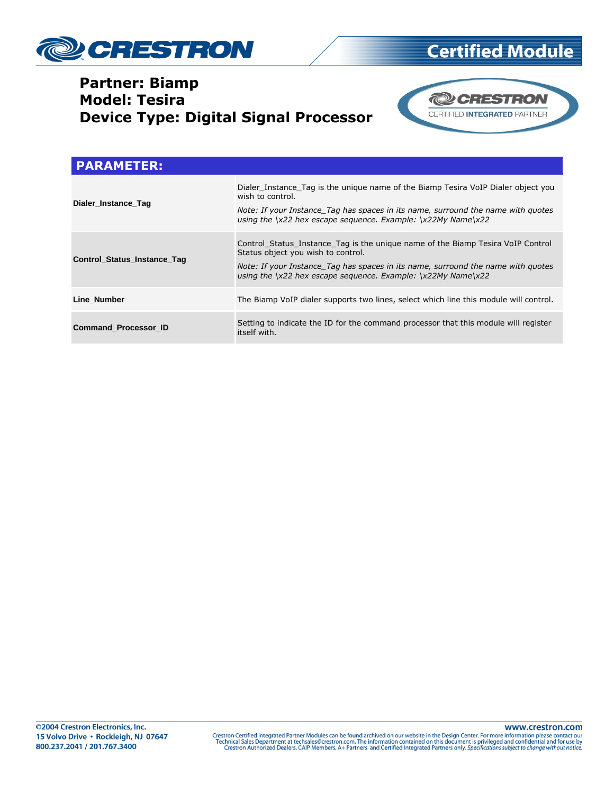

### **Partner: Biamp Model: Tesira Device Type: Digital Signal Processor**



**Certified Module** 

| <b>PARAMETER:</b>           |                                                                                                                                                                                                                                                                                  |
|-----------------------------|----------------------------------------------------------------------------------------------------------------------------------------------------------------------------------------------------------------------------------------------------------------------------------|
| Dialer Instance Tag         | Dialer Instance Tag is the unique name of the Biamp Tesira VoIP Dialer object you<br>wish to control.<br>Note: If your Instance Tag has spaces in its name, surround the name with quotes<br>using the $\x22$ hex escape sequence. Example: $\x22My$ Name $\x22$                 |
| Control_Status_Instance_Tag | Control Status Instance Tag is the unique name of the Biamp Tesira VoIP Control<br>Status object you wish to control.<br>Note: If your Instance Tag has spaces in its name, surround the name with quotes<br>using the $\x22$ hex escape sequence. Example: $\x22My$ Name $\x22$ |
| Line Number                 | The Biamp VoIP dialer supports two lines, select which line this module will control.                                                                                                                                                                                            |
| <b>Command Processor ID</b> | Setting to indicate the ID for the command processor that this module will register<br>itself with.                                                                                                                                                                              |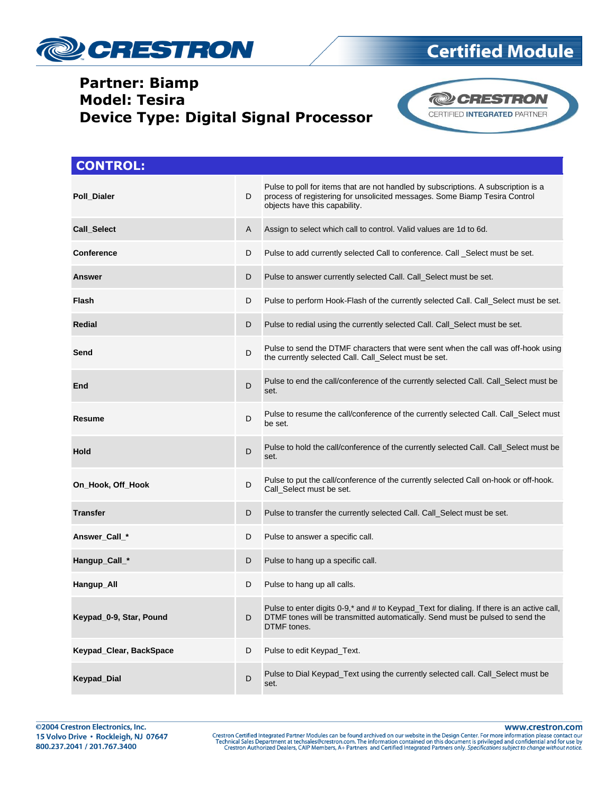

### **Partner: Biamp Model: Tesira Device Type: Digital Signal Processor**



| <b>CONTROL:</b>         |   |                                                                                                                                                                                                   |
|-------------------------|---|---------------------------------------------------------------------------------------------------------------------------------------------------------------------------------------------------|
| Poll_Dialer             | D | Pulse to poll for items that are not handled by subscriptions. A subscription is a<br>process of registering for unsolicited messages. Some Biamp Tesira Control<br>objects have this capability. |
| <b>Call Select</b>      | A | Assign to select which call to control. Valid values are 1d to 6d.                                                                                                                                |
| <b>Conference</b>       | D | Pulse to add currently selected Call to conference. Call _Select must be set.                                                                                                                     |
| <b>Answer</b>           | D | Pulse to answer currently selected Call. Call_Select must be set.                                                                                                                                 |
| Flash                   | D | Pulse to perform Hook-Flash of the currently selected Call. Call_Select must be set.                                                                                                              |
| <b>Redial</b>           | D | Pulse to redial using the currently selected Call. Call_Select must be set.                                                                                                                       |
| Send                    | D | Pulse to send the DTMF characters that were sent when the call was off-hook using<br>the currently selected Call. Call_Select must be set.                                                        |
| End                     | D | Pulse to end the call/conference of the currently selected Call. Call_Select must be<br>set.                                                                                                      |
| Resume                  | D | Pulse to resume the call/conference of the currently selected Call. Call_Select must<br>be set.                                                                                                   |
| Hold                    | D | Pulse to hold the call/conference of the currently selected Call. Call_Select must be<br>set.                                                                                                     |
| On_Hook, Off_Hook       | D | Pulse to put the call/conference of the currently selected Call on-hook or off-hook.<br>Call_Select must be set.                                                                                  |
| <b>Transfer</b>         | D | Pulse to transfer the currently selected Call. Call_Select must be set.                                                                                                                           |
| Answer_Call_*           | D | Pulse to answer a specific call.                                                                                                                                                                  |
| Hangup_Call_*           | D | Pulse to hang up a specific call.                                                                                                                                                                 |
| Hangup_All              | D | Pulse to hang up all calls.                                                                                                                                                                       |
| Keypad 0-9, Star, Pound | D | Pulse to enter digits 0-9,* and # to Keypad_Text for dialing. If there is an active call,<br>DTMF tones will be transmitted automatically. Send must be pulsed to send the<br>DTMF tones.         |
| Keypad_Clear, BackSpace | D | Pulse to edit Keypad_Text.                                                                                                                                                                        |
| <b>Keypad_Dial</b>      | D | Pulse to Dial Keypad_Text using the currently selected call. Call_Select must be<br>set.                                                                                                          |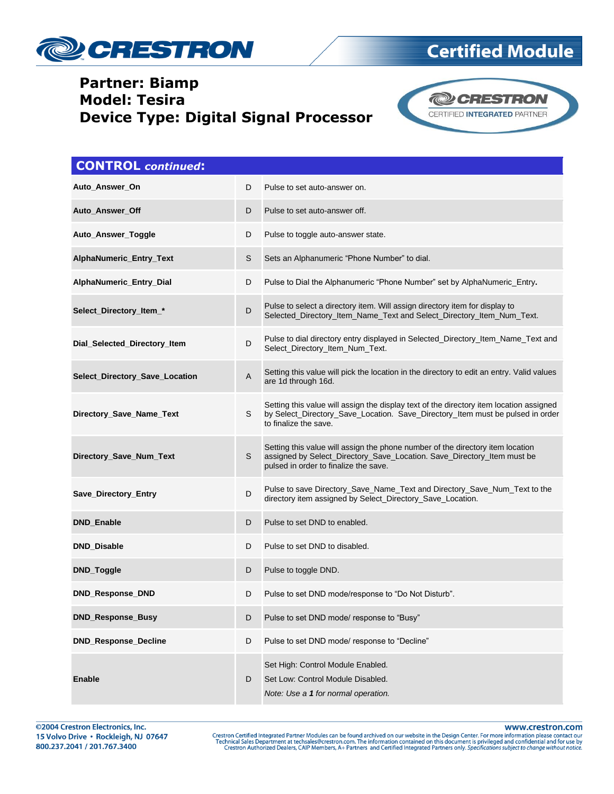

### **Partner: Biamp Model: Tesira Device Type: Digital Signal Processor**



| <b>CONTROL</b> continued:      |   |                                                                                                                                                                                                    |
|--------------------------------|---|----------------------------------------------------------------------------------------------------------------------------------------------------------------------------------------------------|
| Auto_Answer_On                 | D | Pulse to set auto-answer on.                                                                                                                                                                       |
| Auto_Answer_Off                | D | Pulse to set auto-answer off.                                                                                                                                                                      |
| Auto_Answer_Toggle             | D | Pulse to toggle auto-answer state.                                                                                                                                                                 |
| AlphaNumeric_Entry_Text        | S | Sets an Alphanumeric "Phone Number" to dial.                                                                                                                                                       |
| AlphaNumeric_Entry_Dial        | D | Pulse to Dial the Alphanumeric "Phone Number" set by AlphaNumeric_Entry.                                                                                                                           |
| Select_Directory_Item_*        | D | Pulse to select a directory item. Will assign directory item for display to<br>Selected_Directory_Item_Name_Text and Select_Directory_Item_Num_Text.                                               |
| Dial_Selected_Directory_Item   | D | Pulse to dial directory entry displayed in Selected_Directory_Item_Name_Text and<br>Select_Directory_Item_Num_Text.                                                                                |
| Select_Directory_Save_Location | A | Setting this value will pick the location in the directory to edit an entry. Valid values<br>are 1d through 16d.                                                                                   |
| Directory_Save_Name_Text       | S | Setting this value will assign the display text of the directory item location assigned<br>by Select_Directory_Save_Location. Save_Directory_Item must be pulsed in order<br>to finalize the save. |
| Directory_Save_Num_Text        | S | Setting this value will assign the phone number of the directory item location<br>assigned by Select_Directory_Save_Location. Save_Directory_Item must be<br>pulsed in order to finalize the save. |
| Save_Directory_Entry           | D | Pulse to save Directory_Save_Name_Text and Directory_Save_Num_Text to the<br>directory item assigned by Select_Directory_Save_Location.                                                            |
| <b>DND_Enable</b>              | D | Pulse to set DND to enabled.                                                                                                                                                                       |
| DND_Disable                    | D | Pulse to set DND to disabled.                                                                                                                                                                      |
| DND_Toggle                     | D | Pulse to toggle DND.                                                                                                                                                                               |
| DND_Response_DND               | D | Pulse to set DND mode/response to "Do Not Disturb".                                                                                                                                                |
| DND_Response_Busy              | D | Pulse to set DND mode/ response to "Busy"                                                                                                                                                          |
| DND_Response_Decline           | D | Pulse to set DND mode/ response to "Decline"                                                                                                                                                       |
| <b>Enable</b>                  | D | Set High: Control Module Enabled.<br>Set Low: Control Module Disabled.<br>Note: Use a 1 for normal operation.                                                                                      |

www.crestron.com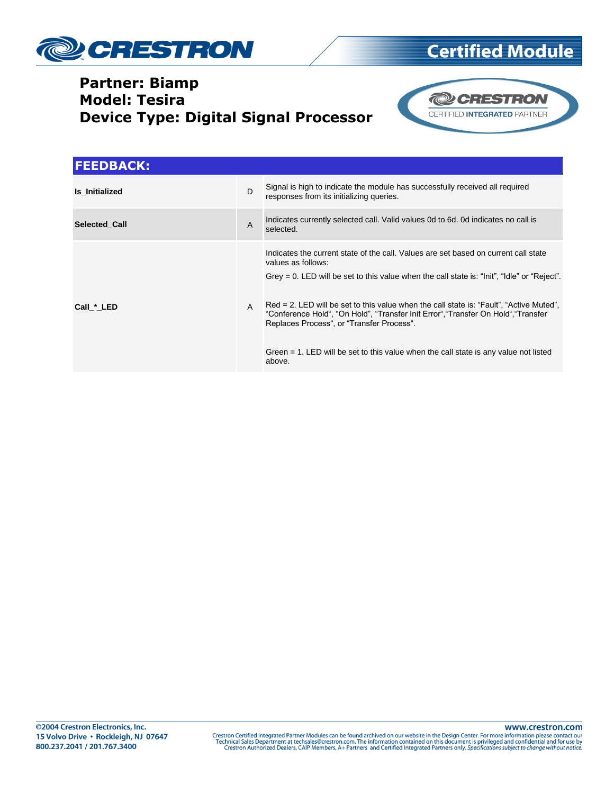

### **Partner: Biamp Model: Tesira Device Type: Digital Signal Processor**



| <b>FEEDBACK:</b> |                |                                                                                                                                                                                                                                                                                                                                                                                                                                                                                                                                          |
|------------------|----------------|------------------------------------------------------------------------------------------------------------------------------------------------------------------------------------------------------------------------------------------------------------------------------------------------------------------------------------------------------------------------------------------------------------------------------------------------------------------------------------------------------------------------------------------|
| Is Initialized   | D              | Signal is high to indicate the module has successfully received all required<br>responses from its initializing queries.                                                                                                                                                                                                                                                                                                                                                                                                                 |
| Selected Call    | $\overline{A}$ | Indicates currently selected call. Valid values 0d to 6d. 0d indicates no call is<br>selected.                                                                                                                                                                                                                                                                                                                                                                                                                                           |
| Call * LED       | A              | Indicates the current state of the call. Values are set based on current call state<br>values as follows:<br>Grey = 0. LED will be set to this value when the call state is: "Init", "Idle" or "Reject".<br>Red = 2. LED will be set to this value when the call state is: "Fault", "Active Muted",<br>"Conference Hold", "On Hold", "Transfer Init Error", "Transfer On Hold", "Transfer<br>Replaces Process", or "Transfer Process".<br>Green = 1. LED will be set to this value when the call state is any value not listed<br>above. |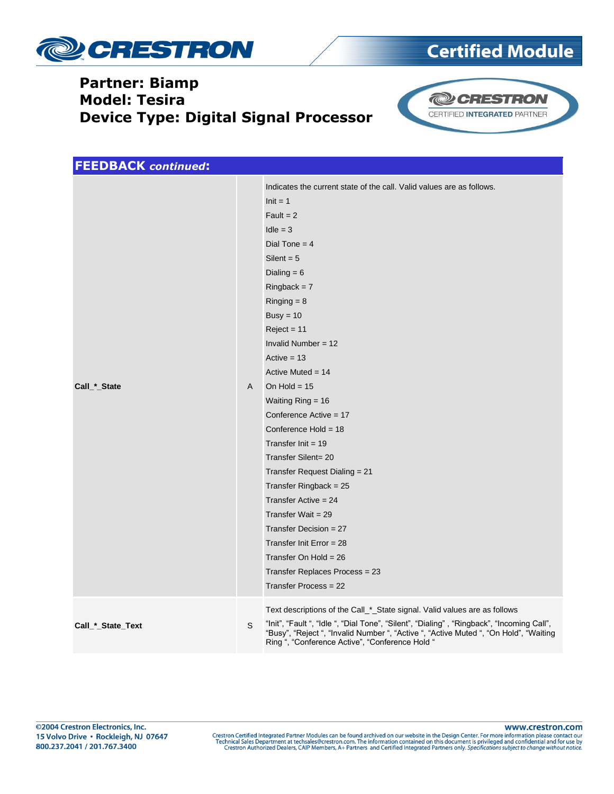

### **Partner: Biamp Model: Tesira Device Type: Digital Signal Processor**



| <b>FEEDBACK</b> continued: |   |                                                                                                                                                                                                                                                                                                                                                                                                                                                                                                                                                                                                                                                                                                                       |
|----------------------------|---|-----------------------------------------------------------------------------------------------------------------------------------------------------------------------------------------------------------------------------------------------------------------------------------------------------------------------------------------------------------------------------------------------------------------------------------------------------------------------------------------------------------------------------------------------------------------------------------------------------------------------------------------------------------------------------------------------------------------------|
| Call_*_State               | A | Indicates the current state of the call. Valid values are as follows.<br>$Init = 1$<br>$Fault = 2$<br>$Idle = 3$<br>Dial Tone = $4$<br>Silent = $5$<br>Dialing $= 6$<br>$Ringback = 7$<br>$Ringing = 8$<br>Busy = $10$<br>$Reject = 11$<br>Invalid Number = $12$<br>$Active = 13$<br>Active Muted = $14$<br>On Hold = $15$<br>Waiting $Ring = 16$<br>Conference Active = $17$<br>Conference Hold = 18<br>Transfer Init = $19$<br>Transfer Silent= 20<br>Transfer Request Dialing = 21<br>Transfer Ringback = $25$<br>Transfer Active = $24$<br>Transfer Wait = $29$<br>Transfer Decision = $27$<br>Transfer Init Error = $28$<br>Transfer On Hold = $26$<br>Transfer Replaces Process = 23<br>Transfer Process = $22$ |
| Call_*_State_Text          | S | Text descriptions of the Call_*_State signal. Valid values are as follows<br>"Init", "Fault ", "Idle ", "Dial Tone", "Silent", "Dialing", "Ringback", "Incoming Call",<br>"Busy", "Reject ", "Invalid Number ", "Active ", "Active Muted ", "On Hold", "Waiting<br>Ring ", "Conference Active", "Conference Hold "                                                                                                                                                                                                                                                                                                                                                                                                    |

www.crestron.com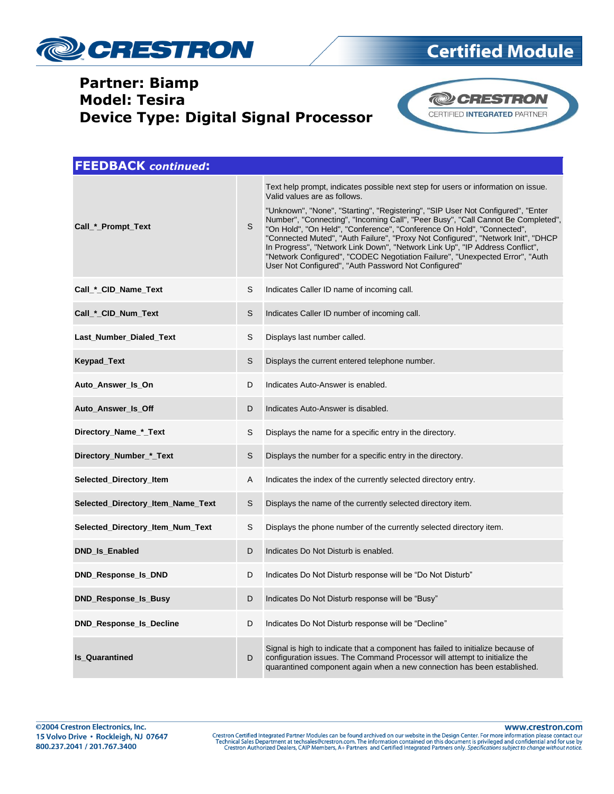

### **Partner: Biamp Model: Tesira Device Type: Digital Signal Processor**



| <b>FEEDBACK</b> continued:        |   |                                                                                                                                                                                                                                                                                                                                                                                                                                                                                                                                                                                                                                                                                |
|-----------------------------------|---|--------------------------------------------------------------------------------------------------------------------------------------------------------------------------------------------------------------------------------------------------------------------------------------------------------------------------------------------------------------------------------------------------------------------------------------------------------------------------------------------------------------------------------------------------------------------------------------------------------------------------------------------------------------------------------|
| Call * Prompt Text                | S | Text help prompt, indicates possible next step for users or information on issue.<br>Valid values are as follows.<br>"Unknown", "None", "Starting", "Registering", "SIP User Not Configured", "Enter<br>Number", "Connecting", "Incoming Call", "Peer Busy", "Call Cannot Be Completed",<br>"On Hold", "On Held", "Conference", "Conference On Hold", "Connected",<br>"Connected Muted", "Auth Failure", "Proxy Not Configured", "Network Init", "DHCP<br>In Progress", "Network Link Down", "Network Link Up", "IP Address Conflict",<br>"Network Configured", "CODEC Negotiation Failure", "Unexpected Error", "Auth<br>User Not Configured", "Auth Password Not Configured" |
| Call_*_CID_Name_Text              | S | Indicates Caller ID name of incoming call.                                                                                                                                                                                                                                                                                                                                                                                                                                                                                                                                                                                                                                     |
| Call_*_CID_Num_Text               | S | Indicates Caller ID number of incoming call.                                                                                                                                                                                                                                                                                                                                                                                                                                                                                                                                                                                                                                   |
| Last_Number_Dialed_Text           | S | Displays last number called.                                                                                                                                                                                                                                                                                                                                                                                                                                                                                                                                                                                                                                                   |
| Keypad_Text                       | S | Displays the current entered telephone number.                                                                                                                                                                                                                                                                                                                                                                                                                                                                                                                                                                                                                                 |
| Auto_Answer_Is_On                 | D | Indicates Auto-Answer is enabled.                                                                                                                                                                                                                                                                                                                                                                                                                                                                                                                                                                                                                                              |
| Auto_Answer_Is_Off                | D | Indicates Auto-Answer is disabled.                                                                                                                                                                                                                                                                                                                                                                                                                                                                                                                                                                                                                                             |
| Directory_Name_*_Text             | S | Displays the name for a specific entry in the directory.                                                                                                                                                                                                                                                                                                                                                                                                                                                                                                                                                                                                                       |
| Directory_Number_*_Text           | S | Displays the number for a specific entry in the directory.                                                                                                                                                                                                                                                                                                                                                                                                                                                                                                                                                                                                                     |
| Selected_Directory_Item           | Α | Indicates the index of the currently selected directory entry.                                                                                                                                                                                                                                                                                                                                                                                                                                                                                                                                                                                                                 |
| Selected_Directory_Item_Name_Text | S | Displays the name of the currently selected directory item.                                                                                                                                                                                                                                                                                                                                                                                                                                                                                                                                                                                                                    |
| Selected_Directory_Item_Num_Text  | S | Displays the phone number of the currently selected directory item.                                                                                                                                                                                                                                                                                                                                                                                                                                                                                                                                                                                                            |
| <b>DND_Is_Enabled</b>             | D | Indicates Do Not Disturb is enabled.                                                                                                                                                                                                                                                                                                                                                                                                                                                                                                                                                                                                                                           |
| <b>DND_Response_Is_DND</b>        | D | Indicates Do Not Disturb response will be "Do Not Disturb"                                                                                                                                                                                                                                                                                                                                                                                                                                                                                                                                                                                                                     |
| DND_Response_Is_Busy              | D | Indicates Do Not Disturb response will be "Busy"                                                                                                                                                                                                                                                                                                                                                                                                                                                                                                                                                                                                                               |
| <b>DND_Response_Is_Decline</b>    | D | Indicates Do Not Disturb response will be "Decline"                                                                                                                                                                                                                                                                                                                                                                                                                                                                                                                                                                                                                            |
| <b>Is_Quarantined</b>             | D | Signal is high to indicate that a component has failed to initialize because of<br>configuration issues. The Command Processor will attempt to initialize the<br>quarantined component again when a new connection has been established.                                                                                                                                                                                                                                                                                                                                                                                                                                       |

www.crestron.com